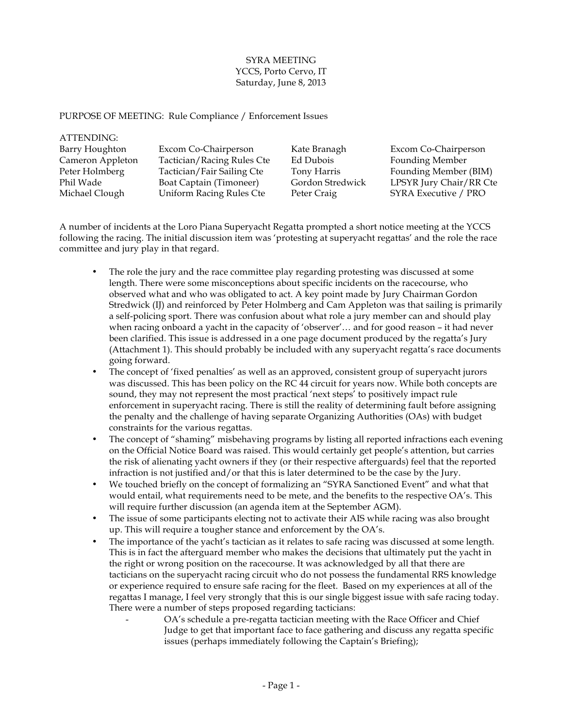## SYRA MEETING YCCS, Porto Cervo, IT Saturday, June 8, 2013

PURPOSE OF MEETING: Rule Compliance / Enforcement Issues

 $\overline{\phantom{a}}$ 

| Excom Co-Chairperson    |
|-------------------------|
|                         |
|                         |
| Founding Member (BIM)   |
| LPSYR Jury Chair/RR Cte |
| SYRA Executive / PRO    |
|                         |

A number of incidents at the Loro Piana Superyacht Regatta prompted a short notice meeting at the YCCS following the racing. The initial discussion item was 'protesting at superyacht regattas' and the role the race committee and jury play in that regard.

- The role the jury and the race committee play regarding protesting was discussed at some length. There were some misconceptions about specific incidents on the racecourse, who observed what and who was obligated to act. A key point made by Jury Chairman Gordon Stredwick (IJ) and reinforced by Peter Holmberg and Cam Appleton was that sailing is primarily a self-policing sport. There was confusion about what role a jury member can and should play when racing onboard a yacht in the capacity of 'observer'… and for good reason – it had never been clarified. This issue is addressed in a one page document produced by the regatta's Jury (Attachment 1). This should probably be included with any superyacht regatta's race documents going forward.
- The concept of 'fixed penalties' as well as an approved, consistent group of superyacht jurors was discussed. This has been policy on the RC 44 circuit for years now. While both concepts are sound, they may not represent the most practical 'next steps' to positively impact rule enforcement in superyacht racing. There is still the reality of determining fault before assigning the penalty and the challenge of having separate Organizing Authorities (OAs) with budget constraints for the various regattas.
- The concept of "shaming" misbehaving programs by listing all reported infractions each evening on the Official Notice Board was raised. This would certainly get people's attention, but carries the risk of alienating yacht owners if they (or their respective afterguards) feel that the reported infraction is not justified and/or that this is later determined to be the case by the Jury.
- We touched briefly on the concept of formalizing an "SYRA Sanctioned Event" and what that would entail, what requirements need to be mete, and the benefits to the respective OA's. This will require further discussion (an agenda item at the September AGM).
- The issue of some participants electing not to activate their AIS while racing was also brought up. This will require a tougher stance and enforcement by the OA's.
- The importance of the yacht's tactician as it relates to safe racing was discussed at some length. This is in fact the afterguard member who makes the decisions that ultimately put the yacht in the right or wrong position on the racecourse. It was acknowledged by all that there are tacticians on the superyacht racing circuit who do not possess the fundamental RRS knowledge or experience required to ensure safe racing for the fleet. Based on my experiences at all of the regattas I manage, I feel very strongly that this is our single biggest issue with safe racing today. There were a number of steps proposed regarding tacticians:
	- OA's schedule a pre-regatta tactician meeting with the Race Officer and Chief Judge to get that important face to face gathering and discuss any regatta specific issues (perhaps immediately following the Captain's Briefing);